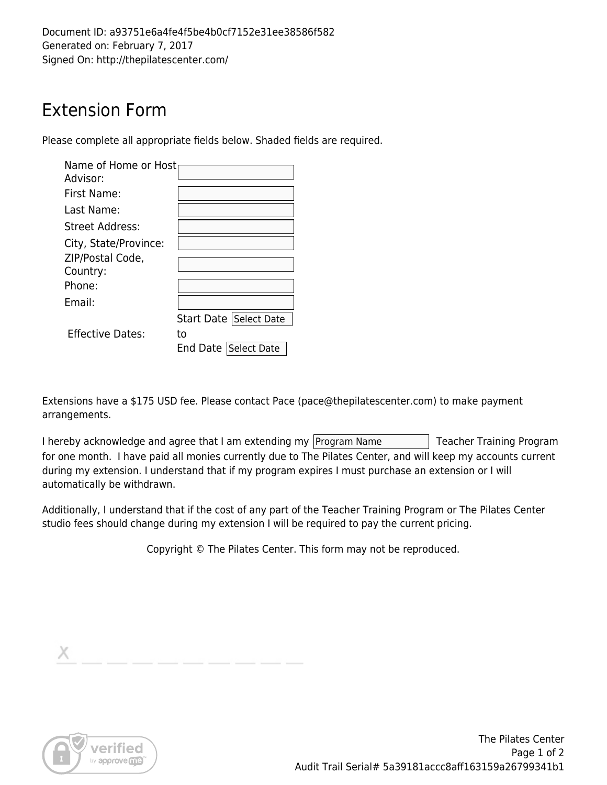Document ID: a93751e6a4fe4f5be4b0cf7152e31ee38586f582 Generated on: February 7, 2017 Signed On: http://thepilatescenter.com/

## Extension Form

Please complete all appropriate fields below. Shaded fields are required.

| Name of Home or Host<br>Advisor: |                         |
|----------------------------------|-------------------------|
| First Name:                      |                         |
| Last Name:                       |                         |
| Street Address:                  |                         |
| City, State/Province:            |                         |
| ZIP/Postal Code,                 |                         |
| Country:                         |                         |
| Phone:                           |                         |
| Fmail:                           |                         |
|                                  | Start Date Select Date  |
| <b>Effective Dates:</b>          | to                      |
|                                  | Select Date<br>End Date |

Extensions have a \$175 USD fee. Please contact Pace (pace@thepilatescenter.com) to make payment arrangements.

I hereby acknowledge and agree that I am extending my Program Name Teacher Training Program for one month. I have paid all monies currently due to The Pilates Center, and will keep my accounts current during my extension. I understand that if my program expires I must purchase an extension or I will automatically be withdrawn.

Additionally, I understand that if the cost of any part of the Teacher Training Program or The Pilates Center studio fees should change during my extension I will be required to pay the current pricing.

Copyright © The Pilates Center. This form may not be reproduced.